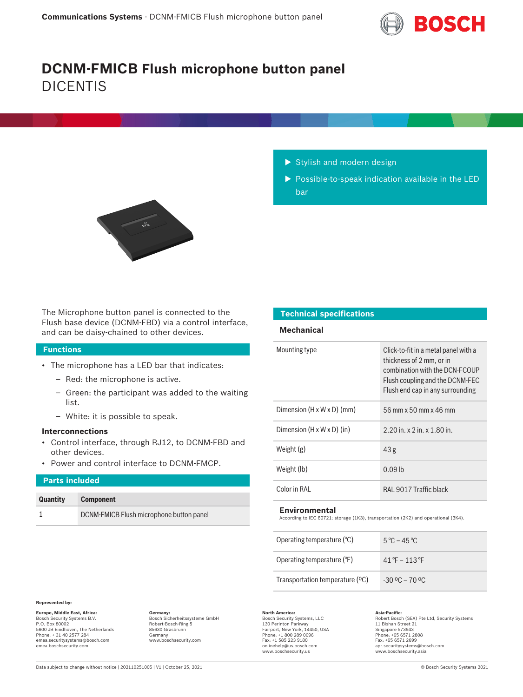

# **DCNM-FMICB Flush microphone button panel** DICENTIS



- $\blacktriangleright$  Stylish and modern design
- $\triangleright$  Possible-to-speak indication available in the LED bar

The Microphone button panel is connected to the Flush base device (DCNM-FBD) via a control interface, and can be daisy-chained to other devices.

# **Functions**

- The microphone has a LED bar that indicates:
	- Red: the microphone is active.
	- Green: the participant was added to the waiting list.
	- White: it is possible to speak.

# **Interconnections**

- Control interface, through RJ12, to DCNM-FBD and other devices.
- Power and control interface to DCNM-FMCP.

# **Parts included Quantity Component** 1 DCNM-FMICB Flush microphone button panel

# **Technical specifications**

# **Mechanical**

| Mounting type                          | Click-to-fit in a metal panel with a<br>thickness of 2 mm, or in<br>combination with the DCN-ECOUP<br>Flush coupling and the DCNM-FEC<br>Flush end cap in any surrounding |
|----------------------------------------|---------------------------------------------------------------------------------------------------------------------------------------------------------------------------|
| Dimension $(H \times W \times D)$ (mm) | 56 mm x 50 mm x 46 mm                                                                                                                                                     |
| Dimension $(H \times W \times D)$ (in) | $2.20$ in. x $2$ in. x $1.80$ in.                                                                                                                                         |
| Weight $(g)$                           | 43 <sub>g</sub>                                                                                                                                                           |
| Weight (lb)                            | $0.09$ lb                                                                                                                                                                 |
| Color in RAI                           | RAL 9017 Traffic black                                                                                                                                                    |

## **Environmental**

According to IEC 60721: storage (1K3), transportation (2K2) and operational (3K4).

| Operating temperature $(°C)$    | $5^{\circ}$ C – 45 $^{\circ}$ C                |
|---------------------------------|------------------------------------------------|
| Operating temperature (°F)      | $41^{\circ}$ F – 113 °F                        |
| Transportation temperature (°C) | $-30\,^{\circ}\text{C} - 70\,^{\circ}\text{C}$ |

### **Represented by:**

**Europe, Middle East, Africa: Germany: North America: Asia-Pacific:** Bosch Sicherheitssysteme GmbH Bosch Security Systems B.V. P.O. Box 80002 5600 JB Eindhoven, The Netherlands Phone: + 31 40 2577 284 emea.securitysystems@bosch.com emea.boschsecurity.com

Robert-Bosch-Ring 5 85630 Grasbrunn Germany www.boschsecurity.com

Bosch Security Systems, LLC

130 Perinton Parkway Fairport, New York, 14450, USA Phone: +1 800 289 0096 Fax: +1 585 223 9180 onlinehelp@us.bosch.com www.boschsecurity.us

Asia-Pacific:<br>Robert Bosch (SEA) Pte Ltd, Security Systems 11 Bishan Street 21 Singapore 573943 Phone: +65 6571 2808

Fax: +65 6571 2699 apr.securitysystems@bosch.com www.boschsecurity.asia